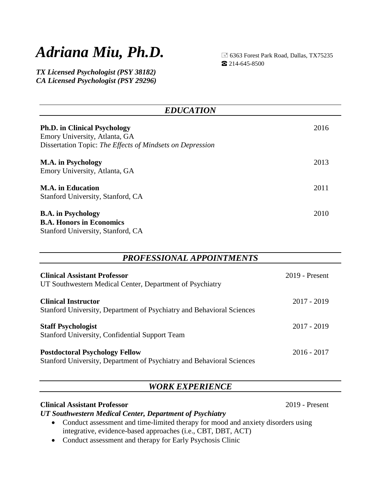# *Adriana Miu, Ph.D.*

 6363 Forest Park Road, Dallas, TX75235 ☎ 214-645-8500

*TX Licensed Psychologist (PSY 38182) CA Licensed Psychologist (PSY 29296)*

| <b>EDUCATION</b>                                                                                                                  |      |
|-----------------------------------------------------------------------------------------------------------------------------------|------|
| <b>Ph.D. in Clinical Psychology</b><br>Emory University, Atlanta, GA<br>Dissertation Topic: The Effects of Mindsets on Depression | 2016 |
| <b>M.A.</b> in Psychology<br>Emory University, Atlanta, GA                                                                        | 2013 |
| <b>M.A.</b> in Education<br>Stanford University, Stanford, CA                                                                     | 2011 |
| <b>B.A.</b> in Psychology<br><b>B.A. Honors in Economics</b><br>Stanford University, Stanford, CA                                 | 2010 |

#### *PROFESSIONAL APPOINTMENTS*

| <b>Clinical Assistant Professor</b><br>UT Southwestern Medical Center, Department of Psychiatry                | $2019$ - Present |
|----------------------------------------------------------------------------------------------------------------|------------------|
| <b>Clinical Instructor</b><br>Stanford University, Department of Psychiatry and Behavioral Sciences            | 2017 - 2019      |
| <b>Staff Psychologist</b><br><b>Stanford University, Confidential Support Team</b>                             | $2017 - 2019$    |
| <b>Postdoctoral Psychology Fellow</b><br>Stanford University, Department of Psychiatry and Behavioral Sciences | $2016 - 2017$    |

### *WORK EXPERIENCE*

#### **Clinical Assistant Professor** 2019 - Present

*UT Southwestern Medical Center, Department of Psychiatry*

- Conduct assessment and time-limited therapy for mood and anxiety disorders using integrative, evidence-based approaches (i.e., CBT, DBT, ACT)
- Conduct assessment and therapy for Early Psychosis Clinic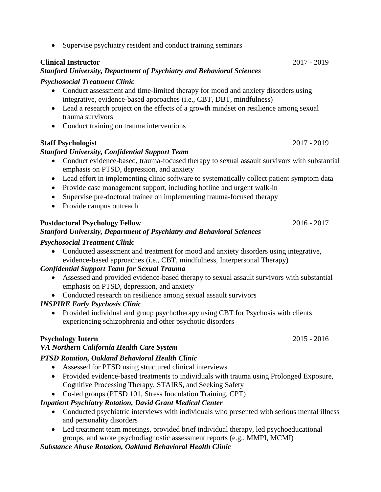• Supervise psychiatry resident and conduct training seminars

#### **Clinical Instructor** 2017 - 2019

#### *Stanford University, Department of Psychiatry and Behavioral Sciences*

#### *Psychosocial Treatment Clinic*

- Conduct assessment and time-limited therapy for mood and anxiety disorders using integrative, evidence-based approaches (i.e., CBT, DBT, mindfulness)
- Lead a research project on the effects of a growth mindset on resilience among sexual trauma survivors
- Conduct training on trauma interventions

#### **Staff Psychologist** 2017 - 2019

#### *Stanford University, Confidential Support Team*

- Conduct evidence-based, trauma-focused therapy to sexual assault survivors with substantial emphasis on PTSD, depression, and anxiety
- Lead effort in implementing clinic software to systematically collect patient symptom data
- Provide case management support, including hotline and urgent walk-in
- Supervise pre-doctoral trainee on implementing trauma-focused therapy
- Provide campus outreach

#### **Postdoctoral Psychology Fellow** 2016 - 2017

#### *Stanford University, Department of Psychiatry and Behavioral Sciences*

#### *Psychosocial Treatment Clinic*

 Conducted assessment and treatment for mood and anxiety disorders using integrative, evidence-based approaches (i.e., CBT, mindfulness, Interpersonal Therapy)

#### *Confidential Support Team for Sexual Trauma*

- Assessed and provided evidence-based therapy to sexual assault survivors with substantial emphasis on PTSD, depression, and anxiety
- Conducted research on resilience among sexual assault survivors

#### *INSPIRE Early Psychosis Clinic*

• Provided individual and group psychotherapy using CBT for Psychosis with clients experiencing schizophrenia and other psychotic disorders

#### **Psychology Intern** 2015 - 2016

#### *VA Northern California Health Care System*

#### *PTSD Rotation, Oakland Behavioral Health Clinic*

- Assessed for PTSD using structured clinical interviews
- Provided evidence-based treatments to individuals with trauma using Prolonged Exposure, Cognitive Processing Therapy, STAIRS, and Seeking Safety
- Co-led groups (PTSD 101, Stress Inoculation Training, CPT)

#### *Inpatient Psychiatry Rotation, David Grant Medical Center*

- Conducted psychiatric interviews with individuals who presented with serious mental illness and personality disorders
- Led treatment team meetings, provided brief individual therapy, led psychoeducational groups, and wrote psychodiagnostic assessment reports (e.g., MMPI, MCMI)

#### *Substance Abuse Rotation, Oakland Behavioral Health Clinic*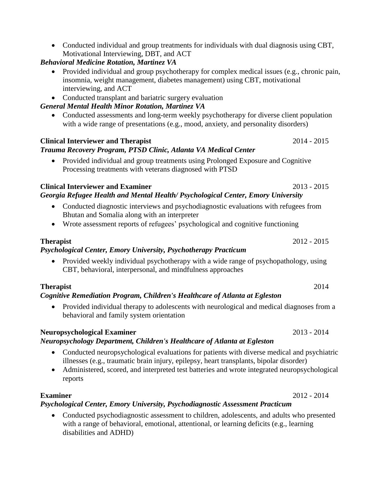Conducted individual and group treatments for individuals with dual diagnosis using CBT, Motivational Interviewing, DBT, and ACT

### *Behavioral Medicine Rotation, Martinez VA*

- Provided individual and group psychotherapy for complex medical issues (e.g., chronic pain, insomnia, weight management, diabetes management) using CBT, motivational interviewing, and ACT
- Conducted transplant and bariatric surgery evaluation

#### *General Mental Health Minor Rotation, Martinez VA*

• Conducted assessments and long-term weekly psychotherapy for diverse client population with a wide range of presentations (e.g., mood, anxiety, and personality disorders)

#### **Clinical Interviewer and Therapist** 2014 - 2015

#### *Trauma Recovery Program, PTSD Clinic, Atlanta VA Medical Center*

 Provided individual and group treatments using Prolonged Exposure and Cognitive Processing treatments with veterans diagnosed with PTSD

#### **Clinical Interviewer and Examiner** 2013 - 2015 *Georgia Refugee Health and Mental Health/ Psychological Center, Emory University*

- Conducted diagnostic interviews and psychodiagnostic evaluations with refugees from Bhutan and Somalia along with an interpreter
- Wrote assessment reports of refugees' psychological and cognitive functioning

#### *Psychological Center, Emory University, Psychotherapy Practicum*

• Provided weekly individual psychotherapy with a wide range of psychopathology, using CBT, behavioral, interpersonal, and mindfulness approaches

#### **Therapist** 2014

#### *Cognitive Remediation Program, Children's Healthcare of Atlanta at Egleston*

 Provided individual therapy to adolescents with neurological and medical diagnoses from a behavioral and family system orientation

#### **Neuropsychological Examiner** 2013 - 2014

#### *Neuropsychology Department, Children's Healthcare of Atlanta at Egleston*

- Conducted neuropsychological evaluations for patients with diverse medical and psychiatric illnesses (e.g., traumatic brain injury, epilepsy, heart transplants, bipolar disorder)
- Administered, scored, and interpreted test batteries and wrote integrated neuropsychological reports

#### **Examiner** 2012 - 2014

#### *Psychological Center, Emory University, Psychodiagnostic Assessment Practicum*

 Conducted psychodiagnostic assessment to children, adolescents, and adults who presented with a range of behavioral, emotional, attentional, or learning deficits (e.g., learning disabilities and ADHD)

**Therapist** 2012 - 2015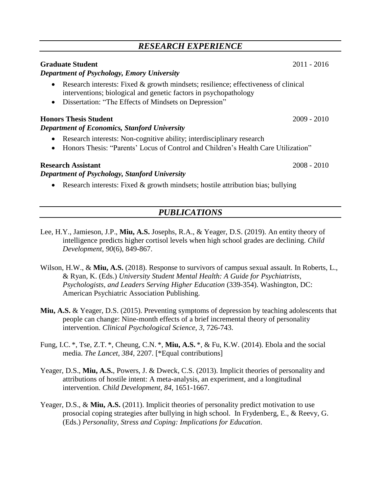### *RESEARCH EXPERIENCE*

#### **Graduate Student** 2011 - 2016

#### *Department of Psychology, Emory University*

- Research interests: Fixed & growth mindsets; resilience; effectiveness of clinical interventions; biological and genetic factors in psychopathology
- Dissertation: "The Effects of Mindsets on Depression"

#### **Honors Thesis Student** 2009 - 2010

#### *Department of Economics, Stanford University*

- Research interests: Non-cognitive ability; interdisciplinary research
- Honors Thesis: "Parents' Locus of Control and Children's Health Care Utilization"

#### **Research Assistant** 2008 - 2010

#### *Department of Psychology, Stanford University*

Research interests: Fixed  $&$  growth mindsets; hostile attribution bias; bullying

### *PUBLICATIONS*

- Lee, H.Y., Jamieson, J.P., **Miu, A.S.** Josephs, R.A., & Yeager, D.S. (2019). An entity theory of intelligence predicts higher cortisol levels when high school grades are declining. *Child Development*, *90*(6), 849-867.
- Wilson, H.W., & **Miu, A.S.** (2018). Response to survivors of campus sexual assault. In Roberts, L., & Ryan, K. (Eds.) *University Student Mental Health: A Guide for Psychiatrists, Psychologists, and Leaders Serving Higher Education* (339-354). Washington, DC: American Psychiatric Association Publishing.
- **Miu, A.S.** & Yeager, D.S. (2015). Preventing symptoms of depression by teaching adolescents that people can change: Nine-month effects of a brief incremental theory of personality intervention. *Clinical Psychological Science*, *3,* 726-743.
- Fung, I.C. \*, Tse, Z.T. \*, Cheung, C.N. \*, **Miu, A.S.** \*, & Fu, K.W. (2014). Ebola and the social media. *The Lancet*, *384,* 2207. [\*Equal contributions]
- Yeager, D.S., **Miu, A.S.**, Powers, J. & Dweck, C.S. (2013). Implicit theories of personality and attributions of hostile intent: A meta-analysis, an experiment, and a longitudinal intervention. *Child Development, 84,* 1651-1667.
- Yeager, D.S., & **Miu, A.S.** (2011). Implicit theories of personality predict motivation to use prosocial coping strategies after bullying in high school. In Frydenberg, E., & Reevy, G. (Eds.) *Personality, Stress and Coping: Implications for Education*.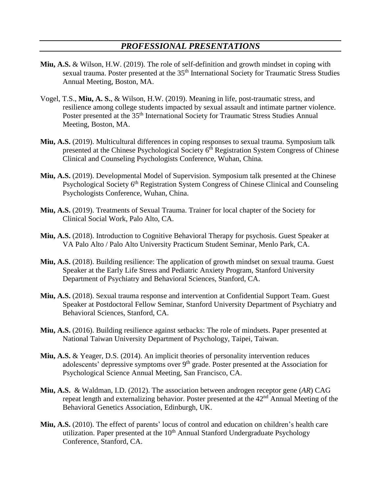#### *PROFESSIONAL PRESENTATIONS*

- **Miu, A.S.** & Wilson, H.W. (2019). The role of self-definition and growth mindset in coping with sexual trauma. Poster presented at the 35<sup>th</sup> International Society for Traumatic Stress Studies Annual Meeting, Boston, MA.
- Vogel, T.S., **Miu, A. S.**, & Wilson, H.W. (2019). Meaning in life, post-traumatic stress, and resilience among college students impacted by sexual assault and intimate partner violence. Poster presented at the 35<sup>th</sup> International Society for Traumatic Stress Studies Annual Meeting, Boston, MA.
- **Miu, A.S.** (2019). Multicultural differences in coping responses to sexual trauma. Symposium talk presented at the Chinese Psychological Society 6<sup>th</sup> Registration System Congress of Chinese Clinical and Counseling Psychologists Conference, Wuhan, China.
- **Miu, A.S.** (2019). Developmental Model of Supervision. Symposium talk presented at the Chinese Psychological Society 6<sup>th</sup> Registration System Congress of Chinese Clinical and Counseling Psychologists Conference, Wuhan, China.
- **Miu, A.S.** (2019). Treatments of Sexual Trauma. Trainer for local chapter of the Society for Clinical Social Work, Palo Alto, CA.
- **Miu, A.S.** (2018). Introduction to Cognitive Behavioral Therapy for psychosis. Guest Speaker at VA Palo Alto / Palo Alto University Practicum Student Seminar, Menlo Park, CA.
- **Miu, A.S.** (2018). Building resilience: The application of growth mindset on sexual trauma. Guest Speaker at the Early Life Stress and Pediatric Anxiety Program, Stanford University Department of Psychiatry and Behavioral Sciences, Stanford, CA.
- **Miu, A.S.** (2018). Sexual trauma response and intervention at Confidential Support Team. Guest Speaker at Postdoctoral Fellow Seminar, Stanford University Department of Psychiatry and Behavioral Sciences, Stanford, CA.
- **Miu, A.S.** (2016). Building resilience against setbacks: The role of mindsets. Paper presented at National Taiwan University Department of Psychology, Taipei, Taiwan.
- **Miu, A.S.** & Yeager, D.S. (2014). An implicit theories of personality intervention reduces adolescents' depressive symptoms over 9<sup>th</sup> grade. Poster presented at the Association for Psychological Science Annual Meeting, San Francisco, CA.
- **Miu, A.S.** & Waldman, I.D. (2012). The association between androgen receptor gene (*AR*) CAG repeat length and externalizing behavior. Poster presented at the  $42<sup>nd</sup>$  Annual Meeting of the Behavioral Genetics Association, Edinburgh, UK.
- **Miu, A.S.** (2010). The effect of parents' locus of control and education on children's health care utilization. Paper presented at the 10<sup>th</sup> Annual Stanford Undergraduate Psychology Conference, Stanford, CA.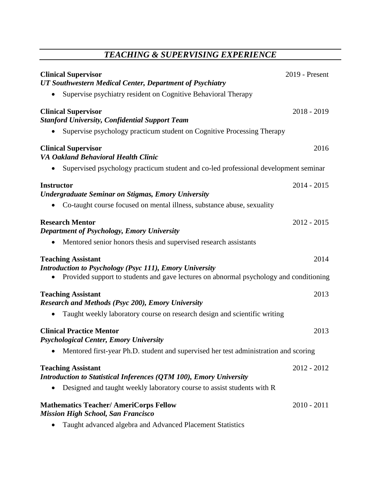# *TEACHING & SUPERVISING EXPERIENCE*

| <b>Clinical Supervisor</b><br>UT Southwestern Medical Center, Department of Psychiatry                                                                                                | 2019 - Present |
|---------------------------------------------------------------------------------------------------------------------------------------------------------------------------------------|----------------|
| Supervise psychiatry resident on Cognitive Behavioral Therapy                                                                                                                         |                |
| <b>Clinical Supervisor</b><br><b>Stanford University, Confidential Support Team</b>                                                                                                   | $2018 - 2019$  |
| Supervise psychology practicum student on Cognitive Processing Therapy<br>$\bullet$                                                                                                   |                |
| <b>Clinical Supervisor</b><br><b>VA Oakland Behavioral Health Clinic</b>                                                                                                              | 2016           |
| Supervised psychology practicum student and co-led professional development seminar                                                                                                   |                |
| <b>Instructor</b><br><b>Undergraduate Seminar on Stigmas, Emory University</b><br>Co-taught course focused on mental illness, substance abuse, sexuality<br>$\bullet$                 | $2014 - 2015$  |
| <b>Research Mentor</b><br><b>Department of Psychology, Emory University</b><br>Mentored senior honors thesis and supervised research assistants<br>$\bullet$                          | $2012 - 2015$  |
| <b>Teaching Assistant</b><br><b>Introduction to Psychology (Psyc 111), Emory University</b><br>Provided support to students and gave lectures on abnormal psychology and conditioning | 2014           |
| <b>Teaching Assistant</b><br><b>Research and Methods (Psyc 200), Emory University</b><br>Taught weekly laboratory course on research design and scientific writing                    | 2013           |
| <b>Clinical Practice Mentor</b><br><b>Psychological Center, Emory University</b>                                                                                                      | 2013           |
| Mentored first-year Ph.D. student and supervised her test administration and scoring                                                                                                  |                |
| <b>Teaching Assistant</b><br>Introduction to Statistical Inferences (QTM 100), Emory University<br>Designed and taught weekly laboratory course to assist students with R             | $2012 - 2012$  |
| <b>Mathematics Teacher/ AmeriCorps Fellow</b><br><b>Mission High School, San Francisco</b>                                                                                            | $2010 - 2011$  |

Taught advanced algebra and Advanced Placement Statistics